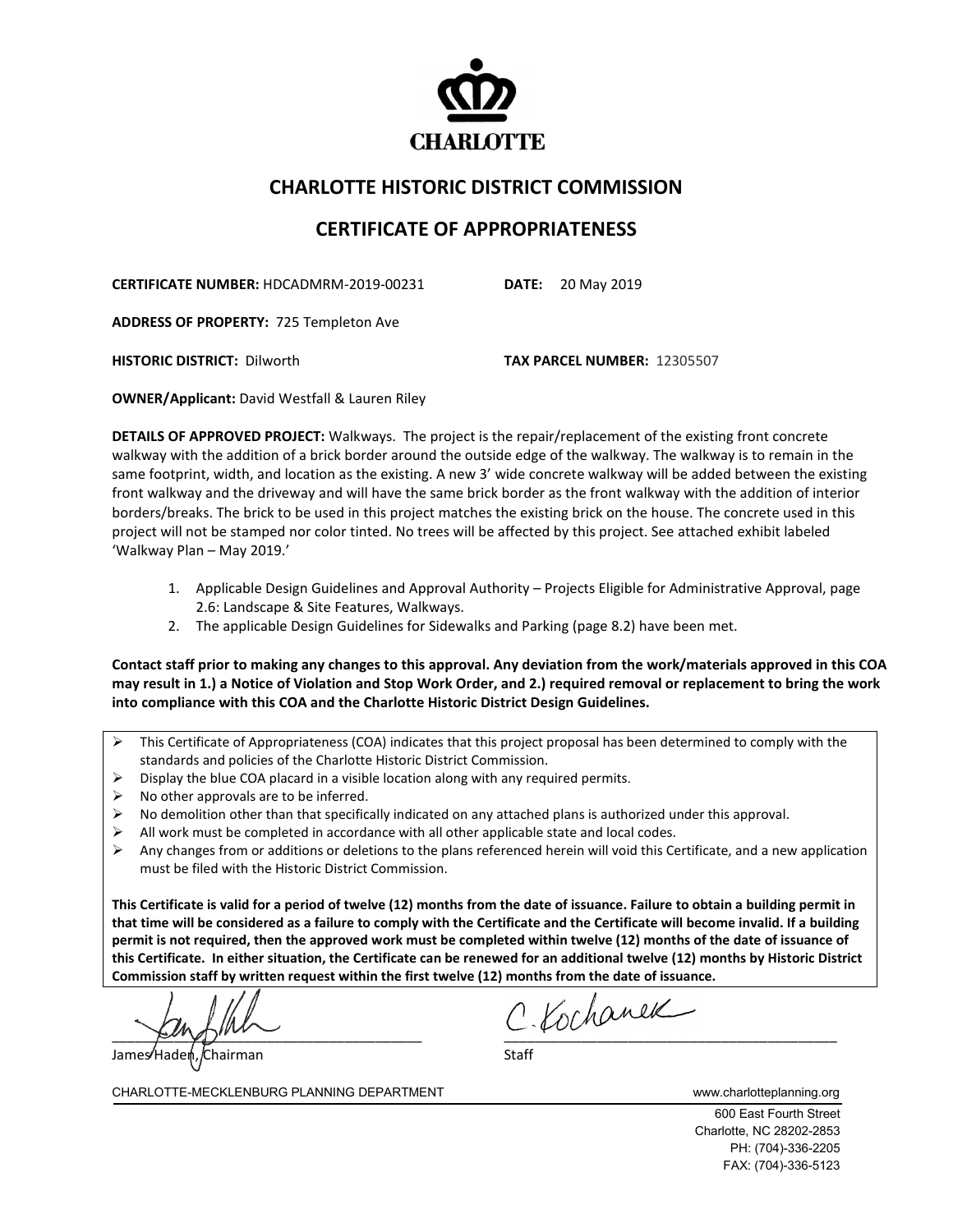

## **CHARLOTTE HISTORIC DISTRICT COMMISSION**

## **CERTIFICATE OF APPROPRIATENESS**

**CERTIFICATE NUMBER:** HDCADMRM-2019-00231 **DATE:** 20 May 2019

**ADDRESS OF PROPERTY:** 725 Templeton Ave

**HISTORIC DISTRICT:** Dilworth **TAX PARCEL NUMBER:** 12305507

**OWNER/Applicant:** David Westfall & Lauren Riley

**DETAILS OF APPROVED PROJECT:** Walkways. The project is the repair/replacement of the existing front concrete walkway with the addition of a brick border around the outside edge of the walkway. The walkway is to remain in the same footprint, width, and location as the existing. A new 3' wide concrete walkway will be added between the existing front walkway and the driveway and will have the same brick border as the front walkway with the addition of interior borders/breaks. The brick to be used in this project matches the existing brick on the house. The concrete used in this project will not be stamped nor color tinted. No trees will be affected by this project. See attached exhibit labeled 'Walkway Plan – May 2019.'

- 1. Applicable Design Guidelines and Approval Authority Projects Eligible for Administrative Approval, page 2.6: Landscape & Site Features, Walkways.
- 2. The applicable Design Guidelines for Sidewalks and Parking (page 8.2) have been met.

**Contact staff prior to making any changes to this approval. Any deviation from the work/materials approved in this COA may result in 1.) a Notice of Violation and Stop Work Order, and 2.) required removal or replacement to bring the work into compliance with this COA and the Charlotte Historic District Design Guidelines.**

- $\triangleright$  This Certificate of Appropriateness (COA) indicates that this project proposal has been determined to comply with the standards and policies of the Charlotte Historic District Commission.
- $\triangleright$  Display the blue COA placard in a visible location along with any required permits.
- $\triangleright$  No other approvals are to be inferred.
- $\triangleright$  No demolition other than that specifically indicated on any attached plans is authorized under this approval.
- $\triangleright$  All work must be completed in accordance with all other applicable state and local codes.
- $\triangleright$  Any changes from or additions or deletions to the plans referenced herein will void this Certificate, and a new application must be filed with the Historic District Commission.

**This Certificate is valid for a period of twelve (12) months from the date of issuance. Failure to obtain a building permit in that time will be considered as a failure to comply with the Certificate and the Certificate will become invalid. If a building permit is not required, then the approved work must be completed within twelve (12) months of the date of issuance of this Certificate. In either situation, the Certificate can be renewed for an additional twelve (12) months by Historic District Commission staff by written request within the first twelve (12) months from the date of issuance.** 

 $\epsilon$ ungur $\epsilon$ James Haden, Chairman Staff Staff Staff Staff Staff Staff Staff Staff Staff Staff Staff Staff Staff Staff Staff Staff Staff Staff Staff Staff Staff Staff Staff Staff Staff Staff Staff Staff Staff Staff Staff Staff Staff St

CHARLOTTE-MECKLENBURG PLANNING DEPARTMENT www.charlotteplanning.org

600 East Fourth Street Charlotte, NC 28202-2853 PH: (704)-336-2205 FAX: (704)-336-5123